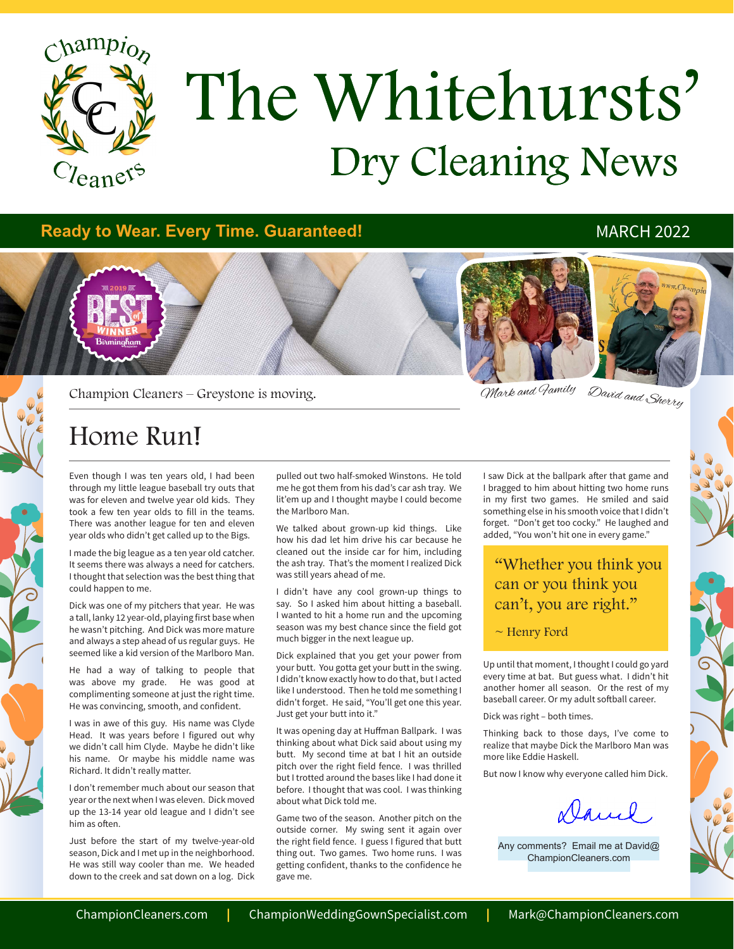

## Dry Cleaning News The Whitehursts'

#### **Ready to Wear. Every Time. Guaranteed!** MARCH 2022



Champion Cleaners – Greystone is moving.

David and Sherry Mark and Family

### Home Run!

Even though I was ten years old, I had been through my little league baseball try outs that was for eleven and twelve year old kids. They took a few ten year olds to fill in the teams. There was another league for ten and eleven year olds who didn't get called up to the Bigs.

I made the big league as a ten year old catcher. It seems there was always a need for catchers. I thought that selection was the best thing that could happen to me.

Dick was one of my pitchers that year. He was a tall, lanky 12 year-old, playing first base when he wasn't pitching. And Dick was more mature and always a step ahead of us regular guys. He seemed like a kid version of the Marlboro Man.

He had a way of talking to people that was above my grade. He was good at complimenting someone at just the right time. He was convincing, smooth, and confident.

I was in awe of this guy. His name was Clyde Head. It was years before I figured out why we didn't call him Clyde. Maybe he didn't like his name. Or maybe his middle name was Richard. It didn't really matter.

I don't remember much about our season that year or the next when I was eleven. Dick moved up the 13-14 year old league and I didn't see him as often.

Just before the start of my twelve-year-old season, Dick and I met up in the neighborhood. He was still way cooler than me. We headed down to the creek and sat down on a log. Dick

pulled out two half-smoked Winstons. He told me he got them from his dad's car ash tray. We lit'em up and I thought maybe I could become the Marlboro Man.

We talked about grown-up kid things. Like how his dad let him drive his car because he cleaned out the inside car for him, including the ash tray. That's the moment I realized Dick was still years ahead of me.

I didn't have any cool grown-up things to say. So I asked him about hitting a baseball. I wanted to hit a home run and the upcoming season was my best chance since the field got much bigger in the next league up.

Dick explained that you get your power from your butt. You gotta get your butt in the swing. I didn't know exactly how to do that, but I acted like I understood. Then he told me something I didn't forget. He said, "You'll get one this year. Just get your butt into it."

It was opening day at Huffman Ballpark. I was thinking about what Dick said about using my butt. My second time at bat I hit an outside pitch over the right field fence. I was thrilled but I trotted around the bases like I had done it before. I thought that was cool. I was thinking about what Dick told me.

Game two of the season. Another pitch on the outside corner. My swing sent it again over the right field fence. I guess I figured that butt thing out. Two games. Two home runs. I was getting confident, thanks to the confidence he gave me.

I saw Dick at the ballpark after that game and I bragged to him about hitting two home runs in my first two games. He smiled and said something else in his smooth voice that I didn't forget. "Don't get too cocky." He laughed and added, "You won't hit one in every game."

#### "Whether you think you can or you think you can't, you are right."

#### $\sim$  Henry Ford

Up until that moment, I thought I could go yard every time at bat. But guess what. I didn't hit another homer all season. Or the rest of my baseball career. Or my adult softball career.

Dick was right – both times.

Thinking back to those days, I've come to realize that maybe Dick the Marlboro Man was more like Eddie Haskell.

But now I know why everyone called him Dick.

Danie,

Any comments? Email me at David@ ChampionCleaners.com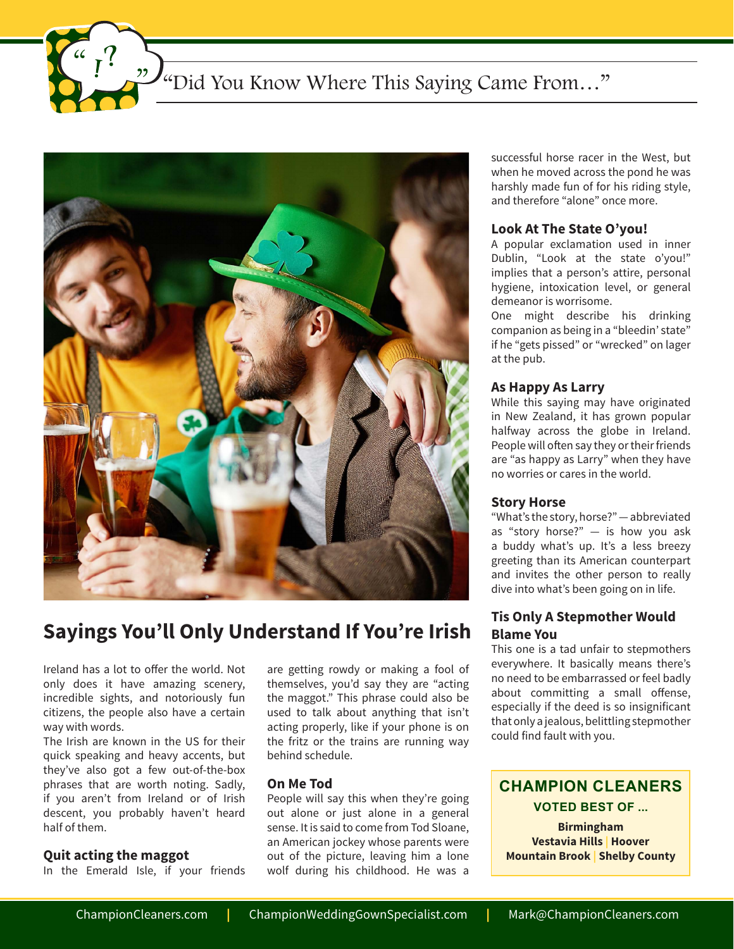"Did You Know Where This Saying Came From..."



### **Sayings You'll Only Understand If You're Irish**

Ireland has a lot to offer the world. Not only does it have amazing scenery, incredible sights, and notoriously fun citizens, the people also have a certain way with words.

The Irish are known in the US for their quick speaking and heavy accents, but they've also got a few out-of-the-box phrases that are worth noting. Sadly, if you aren't from Ireland or of Irish descent, you probably haven't heard half of them.

#### **Quit acting the maggot**

In the Emerald Isle, if your friends

are getting rowdy or making a fool of themselves, you'd say they are "acting the maggot." This phrase could also be used to talk about anything that isn't acting properly, like if your phone is on the fritz or the trains are running way behind schedule.

#### **On Me Tod**

People will say this when they're going out alone or just alone in a general sense. It is said to come from Tod Sloane, an American jockey whose parents were out of the picture, leaving him a lone wolf during his childhood. He was a successful horse racer in the West, but when he moved across the pond he was harshly made fun of for his riding style, and therefore "alone" once more.

#### **Look At The State O'you!**

A popular exclamation used in inner Dublin, "Look at the state o'you!" implies that a person's attire, personal hygiene, intoxication level, or general demeanor is worrisome.

One might describe his drinking companion as being in a "bleedin' state" if he "gets pissed" or "wrecked" on lager at the pub.

#### **As Happy As Larry**

While this saying may have originated in New Zealand, it has grown popular halfway across the globe in Ireland. People will often say they or their friends are "as happy as Larry" when they have no worries or cares in the world.

#### **Story Horse**

"What's the story, horse?" — abbreviated as "story horse?" — is how you ask a buddy what's up. It's a less breezy greeting than its American counterpart and invites the other person to really dive into what's been going on in life.

#### **Tis Only A Stepmother Would Blame You**

This one is a tad unfair to stepmothers everywhere. It basically means there's no need to be embarrassed or feel badly about committing a small offense, especially if the deed is so insignificant that only a jealous, belittling stepmother could find fault with you.

#### **CHAMPION CLEANERS VOTED BEST OF ...**

**Birmingham Vestavia Hills | Hoover Mountain Brook | Shelby County**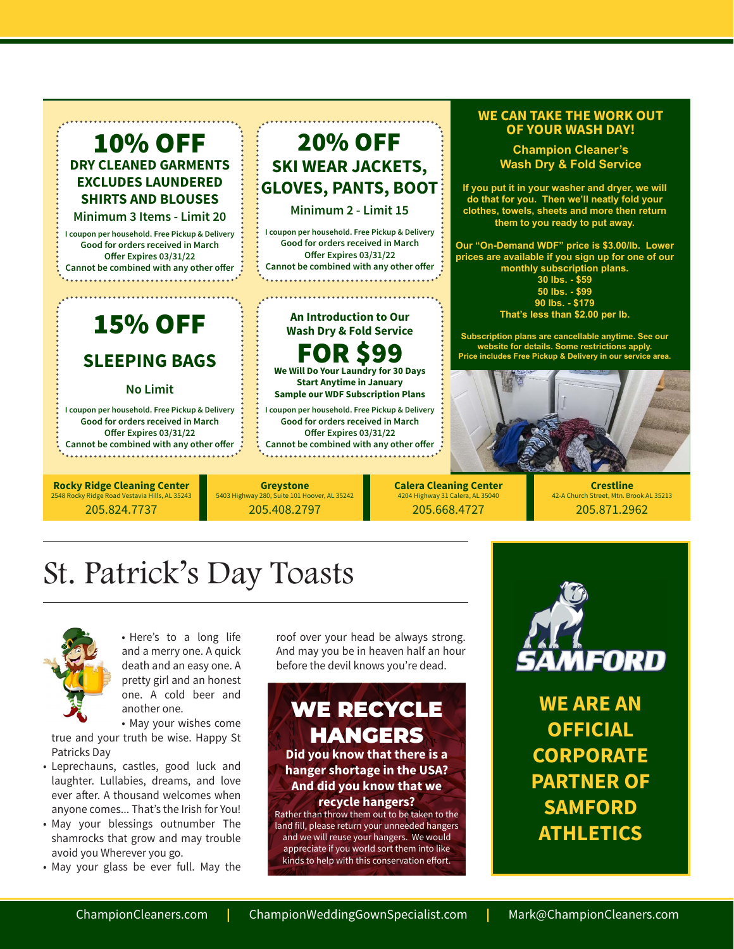#### 10% OFF **DRY CLEANED GARMENTS EXCLUDES LAUNDERED SHIRTS AND BLOUSES**

**Minimum 3 Items - Limit 20**

**I coupon per household. Free Pickup & Delivery Good for orders received in March Offer Expires 03/31/22 Cannot be combined with any other offer**

## 15% OFF

#### **SLEEPING BAGS**

#### **No Limit**

**I coupon per household. Free Pickup & Delivery Good for orders received in March Offer Expires 03/31/22 Cannot be combined with any other offer**

**Rocky Ridge Cleaning Center**  2548 Rocky Ridge Road Vestavia Hills, AL 35243 205.824.7737

#### **Greystone** 5403 Highway 280, Suite 101 Hoover, AL 35242

205.408.2797

#### **WE CAN TAKE THE WORK OUT OF YOUR WASH DAY!**

**Champion Cleaner's Wash Dry & Fold Service**

**If you put it in your washer and dryer, we will do that for you. Then we'll neatly fold your clothes, towels, sheets and more then return them to you ready to put away.** 

**Our "On-Demand WDF" price is \$3.00/lb. Lower prices are available if you sign up for one of our monthly subscription plans. 30 lbs. - \$59**

**50 lbs. - \$99 90 lbs. - \$179 That's less than \$2.00 per lb.** 

**Subscription plans are cancellable anytime. See our website for details. Some restrictions apply. Price includes Free Pickup & Delivery in our service area.**



**Calera Cleaning Center** 4204 Highway 31 Calera, AL 350 205.668.4727

**Crestline**  42-A Church Street, Mtn. Brook AL 35213 205.871.2962

## St. Patrick's Day Toasts



• Here's to a long life and a merry one. A quick death and an easy one. A pretty girl and an honest one. A cold beer and another one.

• May your wishes come true and your truth be wise. Happy St Patricks Day

- • Leprechauns, castles, good luck and laughter. Lullabies, dreams, and love ever after. A thousand welcomes when anyone comes... That's the Irish for You!
- May your blessings outnumber The shamrocks that grow and may trouble avoid you Wherever you go.
- May your glass be ever full. May the

roof over your head be always strong. And may you be in heaven half an hour before the devil knows you're dead.

20% OFF

**SKI WEAR JACKETS, GLOVES, PANTS, BOOT Minimum 2 - Limit 15**

**I coupon per household. Free Pickup & Delivery Good for orders received in March Offer Expires 03/31/22 Cannot be combined with any other offer**

> **An Introduction to Our Wash Dry & Fold Service**

FOR \$99 **We Will Do Your Laundry for 30 Days Start Anytime in January Sample our WDF Subscription Plans**

**I coupon per household. Free Pickup & Delivery Good for orders received in March Offer Expires 03/31/22 Cannot be combined with any other offer**



and we will reuse your hangers. We would appreciate if you world sort them into like kinds to help with this conservation effort.



**WE ARE AN OFFICIAL CORPORATE PARTNER OF SAMFORD ATHLETICS**